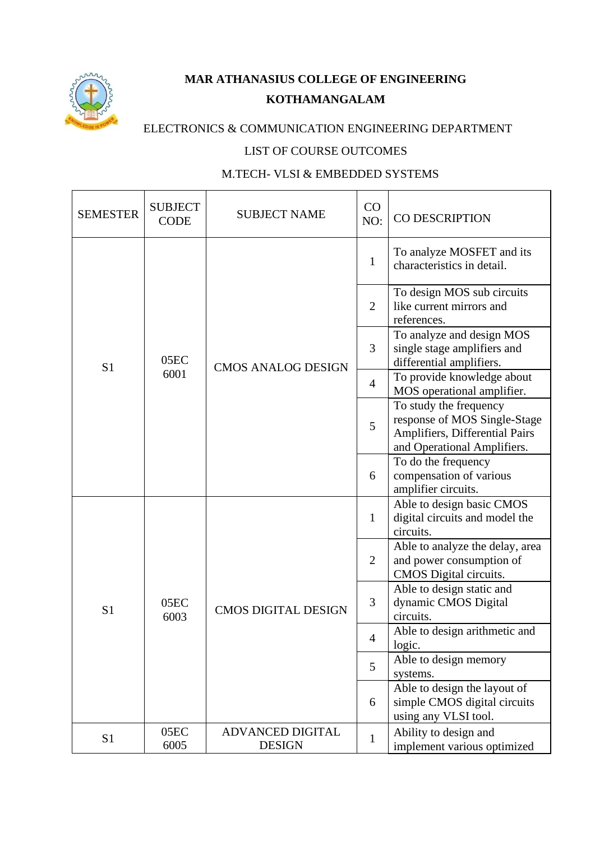

## **MAR ATHANASIUS COLLEGE OF ENGINEERING KOTHAMANGALAM**

## ELECTRONICS & COMMUNICATION ENGINEERING DEPARTMENT

## LIST OF COURSE OUTCOMES

## M.TECH- VLSI & EMBEDDED SYSTEMS

| <b>SEMESTER</b> | <b>SUBJECT</b><br><b>CODE</b> | <b>SUBJECT NAME</b>               | CO<br>NO:      | CO DESCRIPTION                                                                                                          |
|-----------------|-------------------------------|-----------------------------------|----------------|-------------------------------------------------------------------------------------------------------------------------|
|                 |                               |                                   | 1              | To analyze MOSFET and its<br>characteristics in detail.                                                                 |
|                 |                               |                                   | $\overline{2}$ | To design MOS sub circuits<br>like current mirrors and<br>references.                                                   |
| S <sub>1</sub>  | 05EC                          | <b>CMOS ANALOG DESIGN</b>         | 3              | To analyze and design MOS<br>single stage amplifiers and<br>differential amplifiers.                                    |
|                 | 6001                          |                                   | $\overline{4}$ | To provide knowledge about<br>MOS operational amplifier.                                                                |
|                 |                               |                                   | 5              | To study the frequency<br>response of MOS Single-Stage<br>Amplifiers, Differential Pairs<br>and Operational Amplifiers. |
|                 |                               |                                   | 6              | To do the frequency<br>compensation of various<br>amplifier circuits.                                                   |
|                 |                               |                                   | 1              | Able to design basic CMOS<br>digital circuits and model the<br>circuits.                                                |
|                 | 05EC<br>6003                  | <b>CMOS DIGITAL DESIGN</b>        | $\overline{2}$ | Able to analyze the delay, area<br>and power consumption of<br>CMOS Digital circuits.                                   |
| S <sub>1</sub>  |                               |                                   | 3              | Able to design static and<br>dynamic CMOS Digital<br>circuits.                                                          |
|                 |                               |                                   | 4              | Able to design arithmetic and<br>logic.                                                                                 |
|                 |                               |                                   | 5              | Able to design memory<br>systems.                                                                                       |
|                 |                               |                                   | 6              | Able to design the layout of<br>simple CMOS digital circuits<br>using any VLSI tool.                                    |
| S <sub>1</sub>  | 05EC<br>6005                  | ADVANCED DIGITAL<br><b>DESIGN</b> | $\mathbf{1}$   | Ability to design and<br>implement various optimized                                                                    |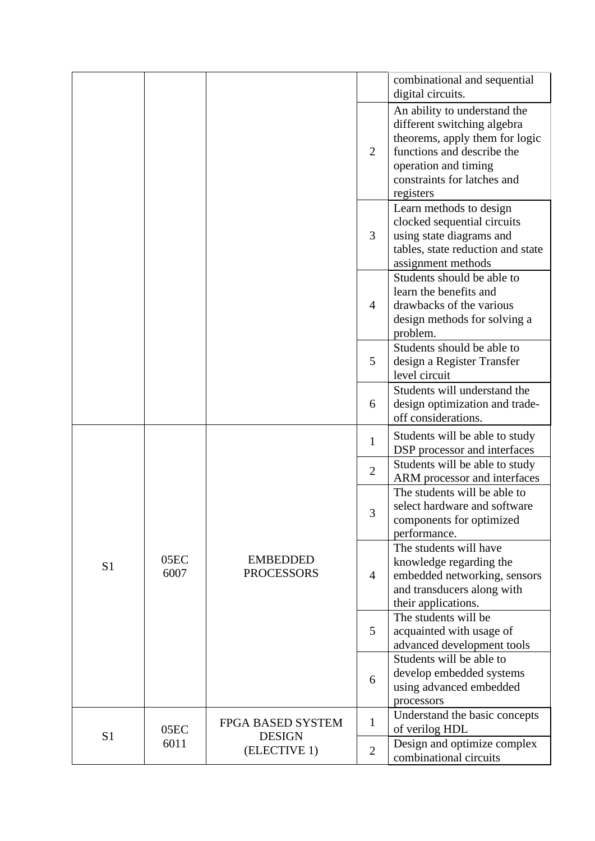|                |              |                                      |                                                                                       | combinational and sequential<br>digital circuits.                                                                                                                                               |
|----------------|--------------|--------------------------------------|---------------------------------------------------------------------------------------|-------------------------------------------------------------------------------------------------------------------------------------------------------------------------------------------------|
|                |              |                                      | $\overline{2}$                                                                        | An ability to understand the<br>different switching algebra<br>theorems, apply them for logic<br>functions and describe the<br>operation and timing<br>constraints for latches and<br>registers |
|                |              |                                      | 3                                                                                     | Learn methods to design<br>clocked sequential circuits<br>using state diagrams and<br>tables, state reduction and state<br>assignment methods                                                   |
|                |              |                                      | $\overline{4}$                                                                        | Students should be able to<br>learn the benefits and<br>drawbacks of the various<br>design methods for solving a<br>problem.                                                                    |
|                |              | 5                                    | Students should be able to<br>design a Register Transfer<br>level circuit             |                                                                                                                                                                                                 |
|                |              | 6                                    | Students will understand the<br>design optimization and trade-<br>off considerations. |                                                                                                                                                                                                 |
|                |              |                                      | $\mathbf{1}$                                                                          | Students will be able to study<br>DSP processor and interfaces                                                                                                                                  |
| S <sub>1</sub> | 05EC<br>6007 | <b>EMBEDDED</b><br><b>PROCESSORS</b> | $\overline{2}$                                                                        | Students will be able to study<br>ARM processor and interfaces                                                                                                                                  |
|                |              |                                      | 3                                                                                     | The students will be able to<br>select hardware and software<br>components for optimized<br>performance.                                                                                        |
|                |              |                                      | 4                                                                                     | The students will have<br>knowledge regarding the<br>embedded networking, sensors<br>and transducers along with<br>their applications.                                                          |
|                |              |                                      | 5                                                                                     | The students will be<br>acquainted with usage of<br>advanced development tools                                                                                                                  |
|                |              |                                      | 6                                                                                     | Students will be able to<br>develop embedded systems<br>using advanced embedded<br>processors                                                                                                   |
|                | 05EC         | FPGA BASED SYSTEM                    | $\mathbf{1}$                                                                          | Understand the basic concepts<br>of verilog HDL                                                                                                                                                 |
| S <sub>1</sub> | 6011         | <b>DESIGN</b><br>(ELECTIVE 1)        | $\overline{2}$                                                                        | Design and optimize complex<br>combinational circuits                                                                                                                                           |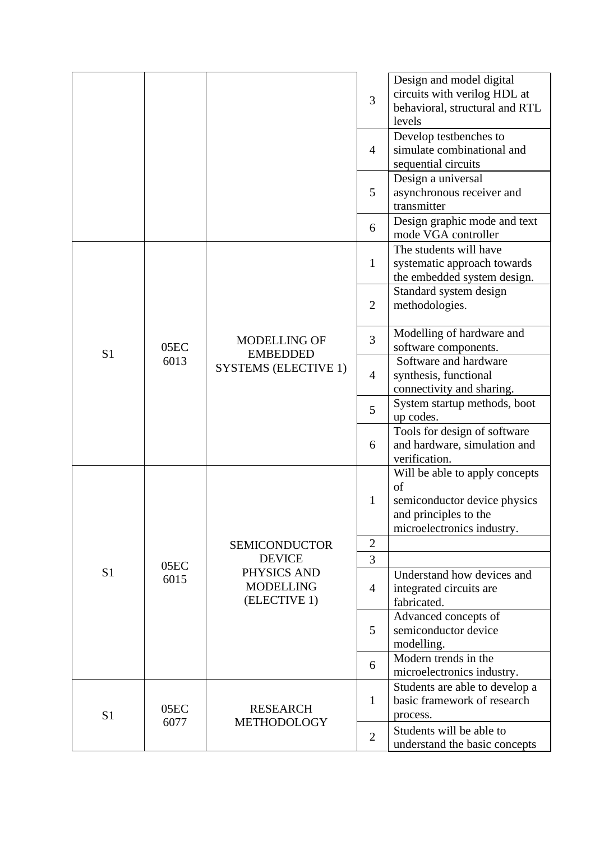|                |      |                                                                       | 3<br>$\overline{4}$ | Design and model digital<br>circuits with verilog HDL at<br>behavioral, structural and RTL<br>levels<br>Develop testbenches to<br>simulate combinational and<br>sequential circuits<br>Design a universal |
|----------------|------|-----------------------------------------------------------------------|---------------------|-----------------------------------------------------------------------------------------------------------------------------------------------------------------------------------------------------------|
|                |      |                                                                       | 5                   | asynchronous receiver and<br>transmitter<br>Design graphic mode and text                                                                                                                                  |
|                |      |                                                                       | 6                   | mode VGA controller                                                                                                                                                                                       |
|                |      |                                                                       | $\mathbf{1}$        | The students will have<br>systematic approach towards<br>the embedded system design.                                                                                                                      |
|                |      |                                                                       | $\overline{2}$      | Standard system design<br>methodologies.                                                                                                                                                                  |
| S <sub>1</sub> | 05EC | <b>MODELLING OF</b><br><b>EMBEDDED</b><br><b>SYSTEMS (ELECTIVE 1)</b> | 3                   | Modelling of hardware and<br>software components.                                                                                                                                                         |
|                | 6013 |                                                                       | 4                   | Software and hardware<br>synthesis, functional<br>connectivity and sharing.                                                                                                                               |
|                |      |                                                                       | 5                   | System startup methods, boot<br>up codes.                                                                                                                                                                 |
|                |      |                                                                       | 6                   | Tools for design of software<br>and hardware, simulation and<br>verification.                                                                                                                             |
|                |      |                                                                       | 1                   | Will be able to apply concepts<br>of<br>semiconductor device physics<br>and principles to the<br>microelectronics industry.                                                                               |
|                |      | <b>SEMICONDUCTOR</b>                                                  | $\overline{2}$      |                                                                                                                                                                                                           |
|                | 05EC | <b>DEVICE</b>                                                         | 3                   |                                                                                                                                                                                                           |
| S <sub>1</sub> | 6015 | PHYSICS AND<br><b>MODELLING</b><br>(ELECTIVE 1)                       | $\overline{4}$      | Understand how devices and<br>integrated circuits are<br>fabricated.                                                                                                                                      |
|                |      |                                                                       | 5                   | Advanced concepts of<br>semiconductor device<br>modelling.                                                                                                                                                |
|                |      |                                                                       | 6                   | Modern trends in the<br>microelectronics industry.                                                                                                                                                        |
| S <sub>1</sub> | 05EC | <b>RESEARCH</b>                                                       | 1                   | Students are able to develop a<br>basic framework of research<br>process.                                                                                                                                 |
|                | 6077 | <b>METHODOLOGY</b>                                                    | $\mathbf{2}$        | Students will be able to<br>understand the basic concepts                                                                                                                                                 |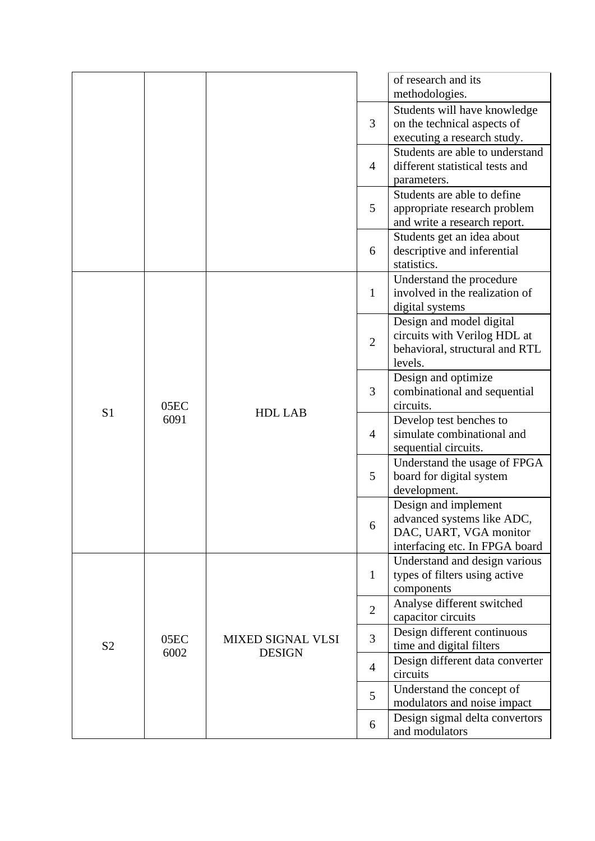|                |              |                                           |                | of research and its<br>methodologies.                      |
|----------------|--------------|-------------------------------------------|----------------|------------------------------------------------------------|
|                |              |                                           |                | Students will have knowledge                               |
|                |              |                                           | 3              | on the technical aspects of                                |
|                |              |                                           |                | executing a research study.                                |
|                |              |                                           |                | Students are able to understand                            |
|                |              |                                           | 4              | different statistical tests and<br>parameters.             |
|                |              |                                           |                | Students are able to define                                |
|                |              |                                           | 5              | appropriate research problem                               |
|                |              |                                           |                | and write a research report.                               |
|                |              |                                           |                | Students get an idea about                                 |
|                |              |                                           | 6              | descriptive and inferential                                |
|                |              |                                           |                | statistics.                                                |
|                |              |                                           | $\mathbf{1}$   | Understand the procedure<br>involved in the realization of |
|                |              |                                           |                | digital systems                                            |
|                |              |                                           |                | Design and model digital                                   |
|                |              | <b>HDL LAB</b>                            | $\overline{2}$ | circuits with Verilog HDL at                               |
|                |              |                                           |                | behavioral, structural and RTL                             |
|                | 05EC<br>6091 |                                           | 3              | levels.                                                    |
|                |              |                                           |                | Design and optimize<br>combinational and sequential        |
|                |              |                                           |                | circuits.                                                  |
| S <sub>1</sub> |              |                                           | $\overline{4}$ | Develop test benches to                                    |
|                |              |                                           |                | simulate combinational and                                 |
|                |              |                                           |                | sequential circuits.                                       |
|                |              |                                           | 5              | Understand the usage of FPGA                               |
|                |              |                                           |                | board for digital system<br>development.                   |
|                |              |                                           |                | Design and implement                                       |
|                |              |                                           | 6              | advanced systems like ADC,                                 |
|                |              |                                           |                | DAC, UART, VGA monitor                                     |
|                |              |                                           |                | interfacing etc. In FPGA board                             |
|                |              |                                           |                | Understand and design various                              |
| S <sub>2</sub> |              |                                           | 1              | types of filters using active                              |
|                |              |                                           |                | components<br>Analyse different switched                   |
|                |              |                                           | $\overline{2}$ | capacitor circuits                                         |
|                |              |                                           | 3              | Design different continuous                                |
|                | 05EC<br>6002 | <b>MIXED SIGNAL VLSI</b><br><b>DESIGN</b> |                | time and digital filters                                   |
|                |              |                                           | $\overline{4}$ | Design different data converter                            |
|                |              |                                           |                | circuits                                                   |
|                |              |                                           | 5              | Understand the concept of<br>modulators and noise impact   |
|                |              |                                           |                | Design sigmal delta convertors                             |
|                |              |                                           | 6              | and modulators                                             |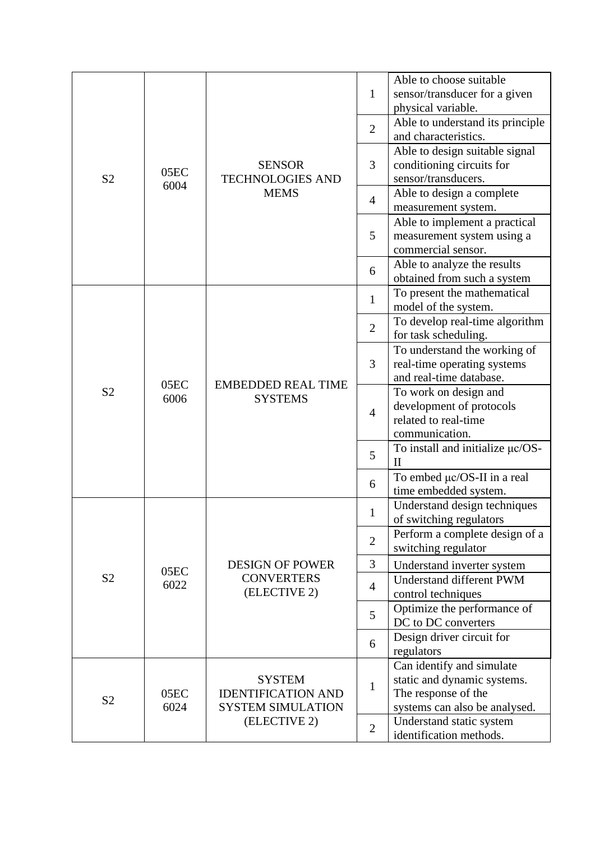|                |                  |                                                                        | $\mathbf{1}$   | Able to choose suitable<br>sensor/transducer for a given                                                         |
|----------------|------------------|------------------------------------------------------------------------|----------------|------------------------------------------------------------------------------------------------------------------|
|                |                  |                                                                        | $\overline{2}$ | physical variable.<br>Able to understand its principle<br>and characteristics.                                   |
| S <sub>2</sub> | 05 <sub>EC</sub> | <b>SENSOR</b><br><b>TECHNOLOGIES AND</b>                               | 3              | Able to design suitable signal<br>conditioning circuits for<br>sensor/transducers.                               |
|                | 6004             | <b>MEMS</b>                                                            | $\overline{4}$ | Able to design a complete<br>measurement system.                                                                 |
|                |                  |                                                                        | 5              | Able to implement a practical<br>measurement system using a<br>commercial sensor.                                |
|                |                  |                                                                        | 6              | Able to analyze the results<br>obtained from such a system                                                       |
|                |                  |                                                                        | $\mathbf{1}$   | To present the mathematical<br>model of the system.                                                              |
|                |                  | <b>EMBEDDED REAL TIME</b><br><b>SYSTEMS</b>                            | $\overline{2}$ | To develop real-time algorithm<br>for task scheduling.                                                           |
|                | 05EC<br>6006     |                                                                        | 3              | To understand the working of<br>real-time operating systems<br>and real-time database.                           |
| S <sub>2</sub> |                  |                                                                        | $\overline{4}$ | To work on design and<br>development of protocols<br>related to real-time<br>communication.                      |
|                |                  |                                                                        | 5              | To install and initialize $\mu$ c/OS-<br>H                                                                       |
|                |                  |                                                                        | 6              | To embed μc/OS-II in a real<br>time embedded system.                                                             |
|                |                  |                                                                        | 1              | Understand design techniques<br>of switching regulators                                                          |
|                |                  |                                                                        | $\overline{2}$ | Perform a complete design of a<br>switching regulator                                                            |
| S <sub>2</sub> | 05EC             | <b>DESIGN OF POWER</b><br><b>CONVERTERS</b>                            | 3              | Understand inverter system<br>Understand different PWM                                                           |
|                | 6022             | (ELECTIVE 2)                                                           | $\overline{4}$ | control techniques                                                                                               |
|                |                  |                                                                        | 5              | Optimize the performance of<br>DC to DC converters                                                               |
|                |                  |                                                                        | 6              | Design driver circuit for<br>regulators                                                                          |
| S <sub>2</sub> | 05EC<br>6024     | <b>SYSTEM</b><br><b>IDENTIFICATION AND</b><br><b>SYSTEM SIMULATION</b> | $\mathbf{1}$   | Can identify and simulate<br>static and dynamic systems.<br>The response of the<br>systems can also be analysed. |
|                |                  | (ELECTIVE 2)                                                           | $\overline{2}$ | Understand static system<br>identification methods.                                                              |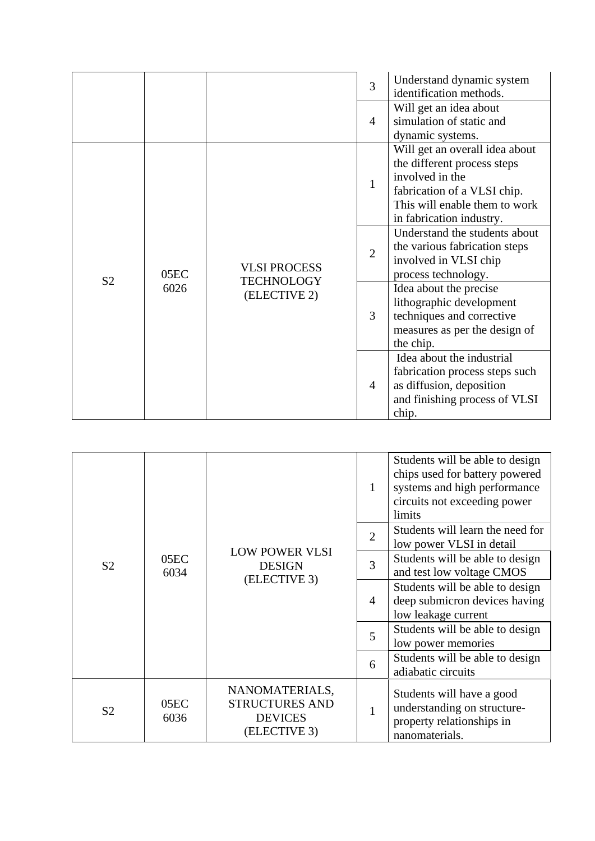|                |              |                                                          | 3              | Understand dynamic system<br>identification methods.                                                                                                                         |
|----------------|--------------|----------------------------------------------------------|----------------|------------------------------------------------------------------------------------------------------------------------------------------------------------------------------|
|                |              |                                                          | 4              | Will get an idea about<br>simulation of static and<br>dynamic systems.                                                                                                       |
|                |              |                                                          | $\mathbf{1}$   | Will get an overall idea about<br>the different process steps<br>involved in the<br>fabrication of a VLSI chip.<br>This will enable them to work<br>in fabrication industry. |
| S <sub>2</sub> | 05EC<br>6026 | <b>VLSI PROCESS</b><br><b>TECHNOLOGY</b><br>(ELECTIVE 2) | $\overline{2}$ | Understand the students about<br>the various fabrication steps<br>involved in VLSI chip<br>process technology.                                                               |
|                |              |                                                          | 3              | Idea about the precise<br>lithographic development<br>techniques and corrective<br>measures as per the design of<br>the chip.                                                |
|                |              |                                                          | 4              | Idea about the industrial<br>fabrication process steps such<br>as diffusion, deposition<br>and finishing process of VLSI<br>chip.                                            |

|                |              |                                                                           | $\mathbf{1}$   | Students will be able to design<br>chips used for battery powered<br>systems and high performance<br>circuits not exceeding power<br>limits |
|----------------|--------------|---------------------------------------------------------------------------|----------------|---------------------------------------------------------------------------------------------------------------------------------------------|
| S <sub>2</sub> | 05EC<br>6034 | <b>LOW POWER VLSI</b><br><b>DESIGN</b><br>(ELECTIVE 3)                    | $\overline{2}$ | Students will learn the need for<br>low power VLSI in detail                                                                                |
|                |              |                                                                           | 3              | Students will be able to design<br>and test low voltage CMOS                                                                                |
|                |              |                                                                           | $\overline{4}$ | Students will be able to design<br>deep submicron devices having<br>low leakage current                                                     |
|                |              |                                                                           | 5              | Students will be able to design<br>low power memories                                                                                       |
|                |              |                                                                           | 6              | Students will be able to design<br>adiabatic circuits                                                                                       |
| S <sub>2</sub> | 05EC<br>6036 | NANOMATERIALS,<br><b>STRUCTURES AND</b><br><b>DEVICES</b><br>(ELECTIVE 3) | 1              | Students will have a good<br>understanding on structure-<br>property relationships in<br>nanomaterials.                                     |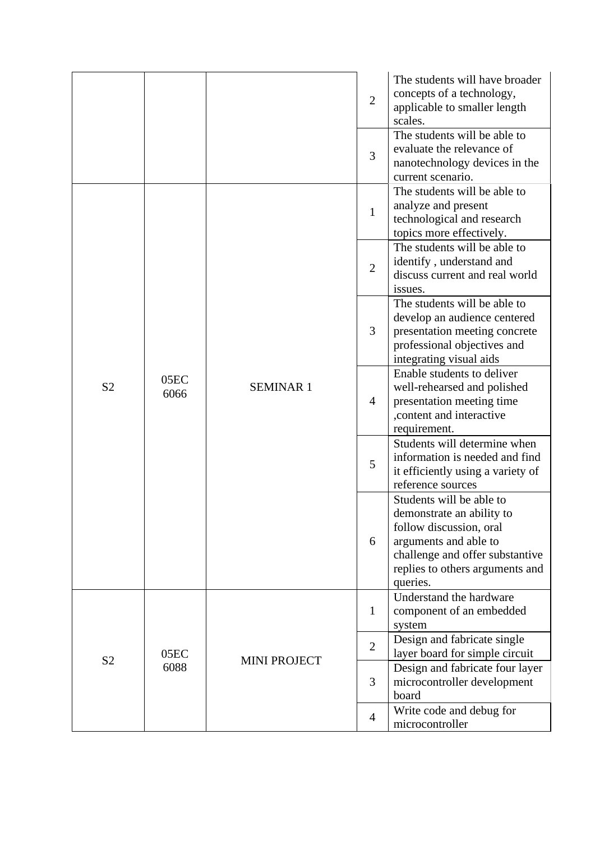|                |              |                     | $\overline{2}$ | The students will have broader<br>concepts of a technology,<br>applicable to smaller length<br>scales.                                                                                      |
|----------------|--------------|---------------------|----------------|---------------------------------------------------------------------------------------------------------------------------------------------------------------------------------------------|
|                |              |                     | 3              | The students will be able to<br>evaluate the relevance of<br>nanotechnology devices in the<br>current scenario.                                                                             |
|                |              |                     | $\mathbf{1}$   | The students will be able to<br>analyze and present<br>technological and research<br>topics more effectively.                                                                               |
|                |              |                     | $\overline{2}$ | The students will be able to<br>identify, understand and<br>discuss current and real world<br>issues.                                                                                       |
| S <sub>2</sub> | 05EC<br>6066 | <b>SEMINAR1</b>     | 3              | The students will be able to<br>develop an audience centered<br>presentation meeting concrete<br>professional objectives and<br>integrating visual aids                                     |
|                |              |                     | 4              | Enable students to deliver<br>well-rehearsed and polished<br>presentation meeting time<br>, content and interactive<br>requirement.                                                         |
|                |              |                     | 5              | Students will determine when<br>information is needed and find<br>it efficiently using a variety of<br>reference sources                                                                    |
|                |              |                     | 6              | Students will be able to<br>demonstrate an ability to<br>follow discussion, oral<br>arguments and able to<br>challenge and offer substantive<br>replies to others arguments and<br>queries. |
| S <sub>2</sub> |              |                     | $\mathbf{1}$   | Understand the hardware<br>component of an embedded<br>system                                                                                                                               |
|                | 05EC         |                     | $\overline{2}$ | Design and fabricate single<br>layer board for simple circuit                                                                                                                               |
|                | 6088         | <b>MINI PROJECT</b> | 3              | Design and fabricate four layer<br>microcontroller development<br>board                                                                                                                     |
|                |              |                     | $\overline{4}$ | Write code and debug for<br>microcontroller                                                                                                                                                 |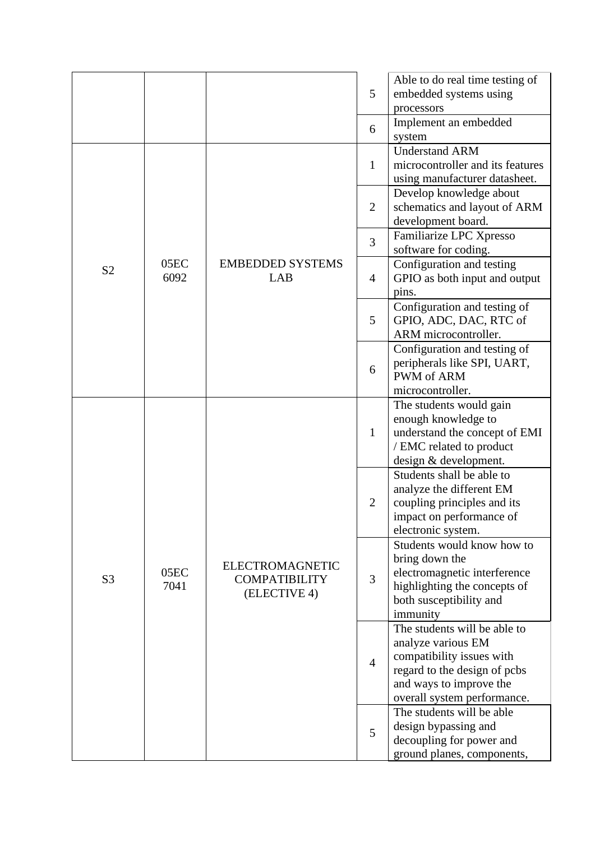|                |              |                                                                | 5              | Able to do real time testing of<br>embedded systems using<br>processors                                                                                                   |
|----------------|--------------|----------------------------------------------------------------|----------------|---------------------------------------------------------------------------------------------------------------------------------------------------------------------------|
|                |              |                                                                | 6              | Implement an embedded<br>system                                                                                                                                           |
|                |              |                                                                | $\mathbf{1}$   | <b>Understand ARM</b><br>microcontroller and its features<br>using manufacturer datasheet.                                                                                |
|                |              |                                                                | $\overline{2}$ | Develop knowledge about<br>schematics and layout of ARM<br>development board.                                                                                             |
|                |              |                                                                | 3              | Familiarize LPC Xpresso<br>software for coding.                                                                                                                           |
| S <sub>2</sub> | 05EC<br>6092 | <b>EMBEDDED SYSTEMS</b><br>LAB                                 | 4              | Configuration and testing<br>GPIO as both input and output<br>pins.                                                                                                       |
|                |              |                                                                | 5              | Configuration and testing of<br>GPIO, ADC, DAC, RTC of<br>ARM microcontroller.                                                                                            |
|                |              |                                                                | 6              | Configuration and testing of<br>peripherals like SPI, UART,<br><b>PWM</b> of ARM<br>microcontroller.                                                                      |
|                |              |                                                                | 1              | The students would gain<br>enough knowledge to<br>understand the concept of EMI<br>/ EMC related to product<br>design & development.                                      |
| S <sub>3</sub> | 05EC<br>7041 | <b>ELECTROMAGNETIC</b><br><b>COMPATIBILITY</b><br>(ELECTIVE 4) | $\overline{2}$ | Students shall be able to<br>analyze the different EM<br>coupling principles and its<br>impact on performance of<br>electronic system.                                    |
|                |              |                                                                | 3              | Students would know how to<br>bring down the<br>electromagnetic interference<br>highlighting the concepts of<br>both susceptibility and<br>immunity                       |
|                |              |                                                                | $\overline{4}$ | The students will be able to<br>analyze various EM<br>compatibility issues with<br>regard to the design of pcbs<br>and ways to improve the<br>overall system performance. |
|                |              |                                                                | 5              | The students will be able<br>design bypassing and<br>decoupling for power and<br>ground planes, components,                                                               |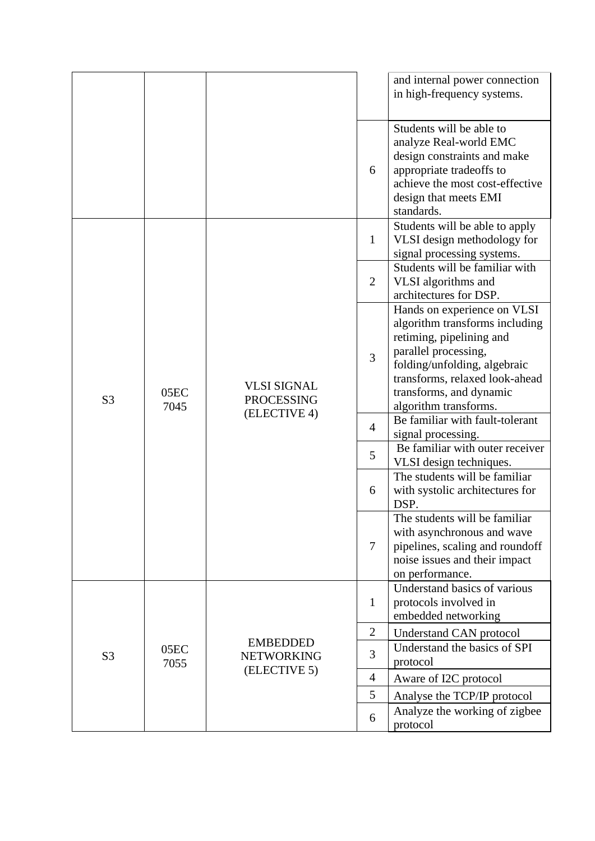|                |              |                                                         |                 | and internal power connection<br>in high-frequency systems.                                                                                                                                                                             |
|----------------|--------------|---------------------------------------------------------|-----------------|-----------------------------------------------------------------------------------------------------------------------------------------------------------------------------------------------------------------------------------------|
|                |              |                                                         | 6               | Students will be able to<br>analyze Real-world EMC<br>design constraints and make<br>appropriate tradeoffs to<br>achieve the most cost-effective<br>design that meets EMI<br>standards.                                                 |
|                |              |                                                         | $\mathbf{1}$    | Students will be able to apply<br>VLSI design methodology for<br>signal processing systems.                                                                                                                                             |
|                |              |                                                         | 2               | Students will be familiar with<br>VLSI algorithms and<br>architectures for DSP.                                                                                                                                                         |
| S <sub>3</sub> | 05EC<br>7045 | <b>VLSI SIGNAL</b><br><b>PROCESSING</b><br>(ELECTIVE 4) | 3               | Hands on experience on VLSI<br>algorithm transforms including<br>retiming, pipelining and<br>parallel processing,<br>folding/unfolding, algebraic<br>transforms, relaxed look-ahead<br>transforms, and dynamic<br>algorithm transforms. |
|                |              |                                                         | $\overline{4}$  | Be familiar with fault-tolerant<br>signal processing.                                                                                                                                                                                   |
|                |              |                                                         | 5               | Be familiar with outer receiver<br>VLSI design techniques.                                                                                                                                                                              |
|                |              |                                                         | 6               | The students will be familiar<br>with systolic architectures for<br>DSP.                                                                                                                                                                |
|                |              |                                                         | $7\phantom{.0}$ | The students will be familiar<br>with asynchronous and wave<br>pipelines, scaling and roundoff<br>noise issues and their impact<br>on performance.                                                                                      |
|                |              |                                                         | 1               | Understand basics of various<br>protocols involved in<br>embedded networking                                                                                                                                                            |
| S <sub>3</sub> |              |                                                         | $\overline{2}$  | Understand CAN protocol                                                                                                                                                                                                                 |
|                | 05EC<br>7055 | <b>EMBEDDED</b><br><b>NETWORKING</b>                    | 3               | Understand the basics of SPI<br>protocol                                                                                                                                                                                                |
|                |              | (ELECTIVE 5)                                            | $\overline{4}$  | Aware of I2C protocol                                                                                                                                                                                                                   |
|                |              |                                                         | 5               | Analyse the TCP/IP protocol                                                                                                                                                                                                             |
|                |              |                                                         | 6               | Analyze the working of zigbee<br>protocol                                                                                                                                                                                               |